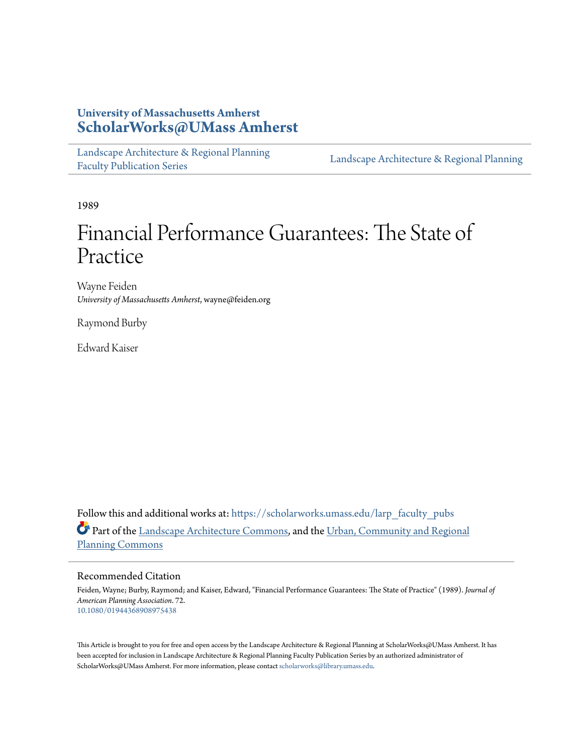# **University of Massachusetts Amherst [ScholarWorks@UMass Amherst](https://scholarworks.umass.edu?utm_source=scholarworks.umass.edu%2Flarp_faculty_pubs%2F72&utm_medium=PDF&utm_campaign=PDFCoverPages)**

[Landscape Architecture & Regional Planning](https://scholarworks.umass.edu/larp_faculty_pubs?utm_source=scholarworks.umass.edu%2Flarp_faculty_pubs%2F72&utm_medium=PDF&utm_campaign=PDFCoverPages) [Faculty Publication Series](https://scholarworks.umass.edu/larp_faculty_pubs?utm_source=scholarworks.umass.edu%2Flarp_faculty_pubs%2F72&utm_medium=PDF&utm_campaign=PDFCoverPages)

[Landscape Architecture & Regional Planning](https://scholarworks.umass.edu/larp?utm_source=scholarworks.umass.edu%2Flarp_faculty_pubs%2F72&utm_medium=PDF&utm_campaign=PDFCoverPages)

1989

# Financial Performance Guarantees: The State of Practice

Wayne Feiden *University of Massachusetts Amherst*, wayne@feiden.org

Raymond Burby

Edward Kaiser

Follow this and additional works at: [https://scholarworks.umass.edu/larp\\_faculty\\_pubs](https://scholarworks.umass.edu/larp_faculty_pubs?utm_source=scholarworks.umass.edu%2Flarp_faculty_pubs%2F72&utm_medium=PDF&utm_campaign=PDFCoverPages) Part of the [Landscape Architecture Commons,](http://network.bepress.com/hgg/discipline/779?utm_source=scholarworks.umass.edu%2Flarp_faculty_pubs%2F72&utm_medium=PDF&utm_campaign=PDFCoverPages) and the [Urban, Community and Regional](http://network.bepress.com/hgg/discipline/776?utm_source=scholarworks.umass.edu%2Flarp_faculty_pubs%2F72&utm_medium=PDF&utm_campaign=PDFCoverPages) [Planning Commons](http://network.bepress.com/hgg/discipline/776?utm_source=scholarworks.umass.edu%2Flarp_faculty_pubs%2F72&utm_medium=PDF&utm_campaign=PDFCoverPages)

# Recommended Citation

Feiden, Wayne; Burby, Raymond; and Kaiser, Edward, "Financial Performance Guarantees: The State of Practice" (1989). *Journal of American Planning Association*. 72. <10.1080/01944368908975438>

This Article is brought to you for free and open access by the Landscape Architecture & Regional Planning at ScholarWorks@UMass Amherst. It has been accepted for inclusion in Landscape Architecture & Regional Planning Faculty Publication Series by an authorized administrator of ScholarWorks@UMass Amherst. For more information, please contact [scholarworks@library.umass.edu.](mailto:scholarworks@library.umass.edu)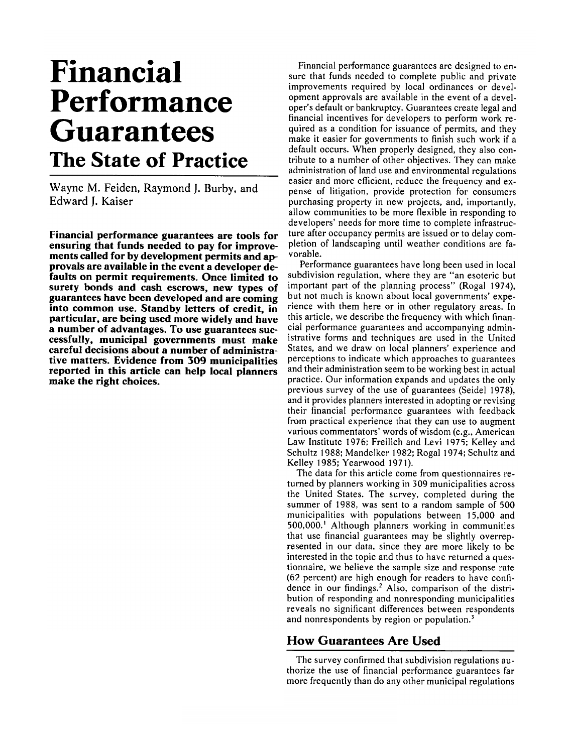# **Financial Performance <sup>a</sup>Guarantees The State of Practice**

Wayne M. Feiden, Raymond J. Burby, and Edward I. Kaiser

**Financial performance guarantees are tools for ensuring that funds needed to pay for improve**ments called for by development permits and ap**provals are available in the event a developer defaults on permit requirements. Once limited to surety bonds and cash escrows, new types of guarantees have been developed and are coming into common use. Standby letters of credit, in particular, are being used more widely and have a number of advantages. To use guarantees successfully, municipal governments must make careful decisions about a number of administrative matters. Evidence from 309 municipalities reported in this article can help local planners make the right choices.** 

Financial performance guarantees are designed to ensure that funds needed to complete public and private improvements required by local ordinances or development approvals are available in the event of a developer's default or bankruptcy. Guarantees create legal and financial incentives for developers to perform work required as a condition for issuance of permits, and they make it easier for governments to finish such work if a default occurs. When properly designed, they also contribute to a number of other obiectives. Thev can make administration of land use and environmental regulations easier and more eficient, reduce the frequency and expense of litigation, provide protection for consumers purchasing property in new projects, and, importantly, allow communities to be more flexible in responding to developers' needs for more time to complete infrastructure after occupancy permits are issued or to delay completion of landscaping until weather conditions are favorable.

Performance guarantees have long been used in local subdivision regulation, where they are "an esoteric but important part of the planning process" (Rogal 1974), but not much is known about local governments' experience with them here or in other regulatory areas. In this article, we describe the frequency with which financial performance guarantees and accompanying administrative forms and techniques are used in the United States, and we draw on local planners' experience and perceptions to indicate which approaches to guarantees and their administration seem to be working best in actual practice. Our information expands and updates the only previous survey of the use of guarantees (Seidel 1978), and it provides planners interested in adopting or revising their financial performance guarantees with feedback from practical experience that they can use to augment various commentators' words of wisdom (e.g., American Law Institute 1976; Freilich and Levi 1975; Kelley and Schultz 1988; Mandelker 1982; Rogal 1974; Schultz and Kelley 1985; Yearwood 197 **1).** 

The data for this article come from questionnaires returned by planners working in 309 municipalities across the United States. The survey, completed during the summer of 1988, was sent to a random sample of 500 municipalities with populations between 15,000 and 500,000.' Although planners working in communities that use financial guarantees may be slightly overrepresented in our data, since they are more likely to be interested in the topic and thus to have returned a questionnaire, we believe the sample size and response rate (62 percent) are high enough for readers to have confidence in our findings.<sup>2</sup> Also, comparison of the distribution of responding and nonresponding municipalities reveals no significant differences between respondents and nonrespondents by region or population. $<sup>3</sup>$ </sup>

# **How Guarantees Are Used**

The survey confirmed that subdivision regulations authorize the use of financial performance guarantees far more frequently than do any other municipal regulations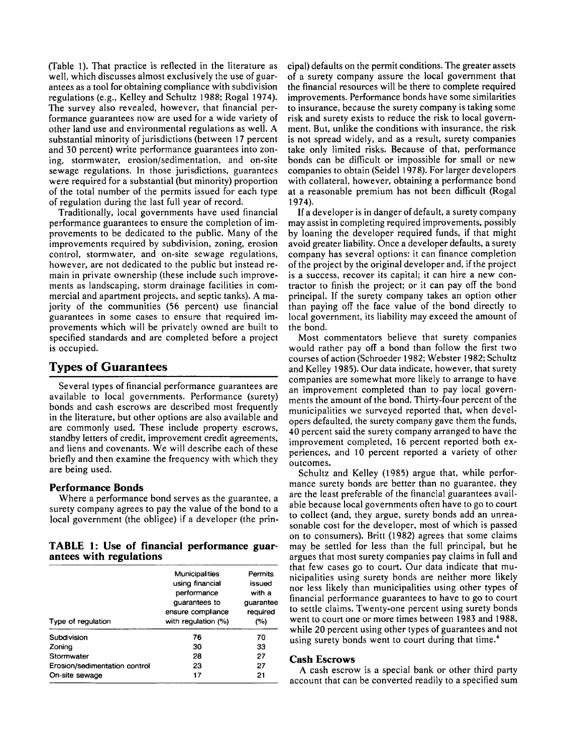(Table **1).** That practice is reflected in the literature as well, which discusses almost exclusively the use of guarantees as a tool for obtaining compliance with subdivision regulations (e.g., Kelley and Schultz 1988; Rogal 1974). The survey also revealed, however, that financial performance guarantees now are used for a wide variety of other land use and environmental regulations as well. **A**  substantial minority of jurisdictions (between 17 percent and 30 percent) write performance guarantees into zoning, stormwater, erosion/sedimentation, and on-site sewage regulations. In those jurisdictions, guarantees were required for a substantial (but minority) proportion of the total number of the permits issued for each type of regulation during the last full year of record.

Traditionally, local governments have used financial performance guarantees to ensure the completion of improvements to be dedicated to the public. Many of the improvements required by subdivision, zoning, erosion control, stormwater, and on-site sewage regulations, however, are not dedicated to the public but instead remain in private ownership (these include such improvements as landscaping, storm drainage facilities in commercial and apartment projects, and septic tanks). **A** majority of the communities (56 percent) use financial guarantees in some cases to ensure that required improvements which will be privately owned are built to specified standards and are completed before a project is occupied.

# **Types of Guarantees**

Several types of financial performance guarantees are available to local governments. Performance (surety) bonds and cash escrows are described most frequently in the literature, but other options are also available and are commonly used. These include property escrows, standby letters of credit, improvement credit agreements, and liens and covenants. We will describe each of these briefly and then examine the frequency with which they are being used.

## **Performance Bonds**

Where a performance bond serves as the guarantee, a surety company agrees to pay the value of the bond to a local government (the obligee) if a developer (the prin-

**TABLE 1: Use of financial performance guarantees with regulations** 

|                               | <b>Municipalities</b> | Permits                                   |  |
|-------------------------------|-----------------------|-------------------------------------------|--|
|                               | using financial       | issued<br>with a<br>guarantee<br>required |  |
|                               | performance           |                                           |  |
|                               | quarantees to         |                                           |  |
|                               | ensure compliance     |                                           |  |
| Type of regulation            | with regulation (%)   | (%)                                       |  |
| Subdivision                   | 76                    | 70                                        |  |
| Zoning                        | 30                    | 33                                        |  |
| Stormwater                    | 28                    | 27                                        |  |
| Erosion/sedimentation control | 23                    | 27                                        |  |
| On-site sewage                | 17                    | 21                                        |  |
|                               |                       |                                           |  |

cipal) defaults on the permit conditions. The greater assets of a surety company assure the local government that the financial resources will be there to complete required improvements. Performance bonds have some similarities to insurance, because the surety company is taking some risk and surety exists to reduce the risk to local government. But, unlike the conditions with insurance, the risk is not spread widely, and as a result, surety companies take only limited risks. Because of that, performance bonds can be difficult or impossible for small or new companies to obtain (Seidel 1978). For larger developers with collateral, however, obtaining a performance bond at a reasonable premium has not been difficult (Rogal 1974).

If a developer is in danger of default, a surety company may assist in completing required improvements, possibly by loaning the developer required funds, if that might avoid greater liability. Once a developer defaults, a surety company has several options: it can finance completion of the project by the original developer and, if the project is a success, recover its capital; it can hire a new contractor to finish the project: or it can pay off the bond principal. If the surety company takes an option other than paying off the face value of the bond directly to local government, its liability may exceed the amount of the bond.

Most commentators believe that surety companies would rather pay off a bond than follow the first two courses of action (Schroeder 1982; Webster 1982; Schultz and Kelley 1985). Our data indicate, however, that surety companies are somewhat more likely to arrange to have an improvement completed than to pay local governments the amount of the bond. Thirty-four percent of the municipalities we surveyed reported that, when developers defaulted, the surety company gave them the funds, **40** percent said the surety company arranged to have the improvement completed, 16 percent reported both experiences, and **10** percent reported a variety of other outcomes.

Schultz and Kelley (1985) argue that, while performance surety bonds are better than no guarantee, they are the least preferable of the financial guarantees available because local governments often have to go to court to collect (and, they argue, surety bonds add an unreasonable cost for the developer, most of which is passed on to consumers). Rritt (1982) agrees that some claims may be settled for less than the full principal, but he argues that most surety companies pay claims in full and that few cases go to court. Our data indicate that municipalities using surety bonds are neither more likely nor less likely than municipalities using other types of financial performance guarantees to have to go to court to settle claims. Twenty-one percent using surety bonds went to court one or more times between 1983 and 1988, while 20 percent using other types of guarantees and not using surety bonds went to court during that time.<sup>4</sup>

## **Cash Escrows**

**A** cash escrow is a special bank or other third party account that can be converted readily to a specified sum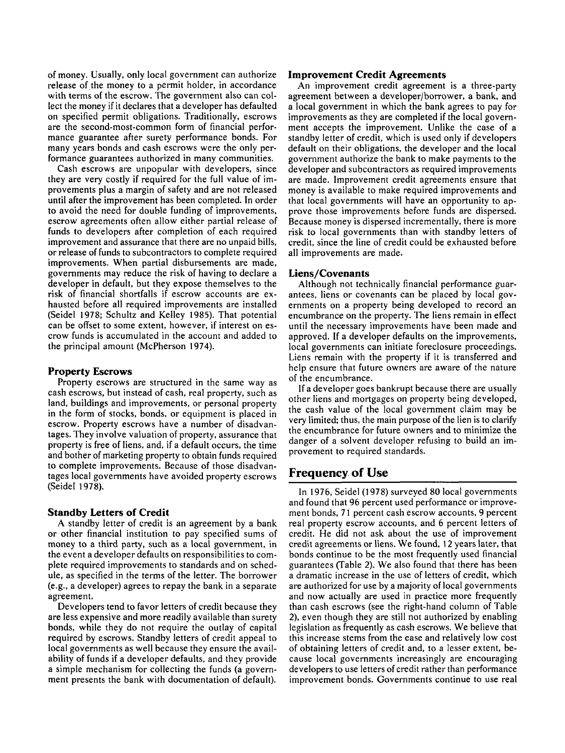of money. Usually, only local government can authorize release of the money to a permit holder, in accordance with terms of the escrow. The government also can collect the money if it declares that a developer has defaulted on specified permit obligations. Traditionally, escrows are the second-most-common form of financial performance guarantee after surety performance bonds. For many years bonds and cash escrows were the only performance guarantees authorized in many communities.

Cash escrows are unpopular with developers, since they are very costly if required for the full value of improvements plus a margin of safety and are not released until after the improvement has been completed. In order to avoid the need for double funding of improvements, escrow agreements often allow either partial release of funds to developers after completion of each required improvement and assurance that there are no unpaid bills, or release of funds to subcontractors to complete required improvements. When partial disbursements are made, governments may reduce the risk of having to declare a developer in default, but they expose themselves to the risk of financial shortfalls if escrow accounts are exhausted before all required improvements are installed (Seidel 1978; Schultz and Kelley 1985). That potential can be offset to some extent, however, if interest on escrow funds is accumulated in the account and added to the principal amount (McPherson 1974).

#### **Property Escrows**

Property escrows are structured in the same way as cash escrows, but instead of cash, real property, such as land, buildings and improvements, or personal property in the form of stocks, bonds, or equipment is placed in escrow. Property escrows have a number of disadvantages. They involve valuation of property, assurance that property is free of liens, and, if a default occurs, the time and bother of marketing property to obtain funds required to complete improvements. Because of those disadvantages local governments have avoided property escrows (Seidel 1978).

## **Standby Letters of Credit**

A standby letter of credit is an agreement by a bank or other financial institution to pay specified sums of money to a third party, such as a local government, in the event a developer defaults on responsibilities to complete required improvements to standards and on schedule, as specified in the terms of the letter. The borrower (e.g., a developer) agrees to repay the bank in a separate agreement.

Developers tend to favor letters of credit because they are less expensive and more readily available than surety bonds, while they do not require the outlay of capital required by escrows. Standby letters of credit appeal to local governments as well because they ensure the availability of funds if a developer defaults, and they provide a simple mechanism for collecting the funds (a government presents the bank with documentation of default).

#### **Improvement Credit Agreements**

An improvement credit agreement is a three-party agreement between a developer/borrower, a bank, and a local government in which the bank agrees to pay for improvements as they are completed if the local government accepts the improvement. Unlike the case of a standby letter of credit, which is used only if developers default on their obligations, the developer and the local government authorize the bank to make payments to the developer and subcontractors as required improvements are made. Improvement credit agreements ensure that money is available to make required improvements and that local governments will have an opportunity to approve those improvements before funds are dispersed. Because money is dispersed incrementally, there is more risk to local governments than with standby letters of credit, since the line of credit could be exhausted before all improvements are made.

#### **Liens/Covenants**

Although not technically financial performance guarantees, liens or covenants can be placed by local governments on a property being developed to record an encumbrance on the property. The liens remain in effect until the necessary improvements have been made and approved. If a developer defaults on the improvements, local governments can initiate foreclosure proceedings. Liens remain with the property if it is transferred and help ensure that future owners are aware of the nature of the encumbrance.

If a developer goes bankrupt because there are usually other liens and mortgages on property being developed, the cash value of the local government claim may be very limited; thus, the main purpose of the lien is to clarify the encumbrance for future owners and to minimize the danger of a solvent developer refusing to build an improvement to required standards.

# **Frequency. of Use**

In 1976, Seidel(1978) surveyed 80 local governments and found that 96 percent used performance or improvement bonds, 7 1 percent cash escrow accounts, 9 percent real property escrow accounts, and *6* percent letters of credit. He did not ask about the use of improvement credit agreements or liens. We found, 12 years later, that bonds continue to be the most frequently used financial guarantees (Table 2). We also found that there has been a dramatic increase in the use of letters of credit, which are authorized for use by a majority of local governments and now actually are used in practice more frequently than cash escrows (see the right-hand column of Table 2), even though they are still not authorized by enabling legislation as frequently as cash escrows. We believe that this increase stems from the ease and relatively low cost of obtaining letters of credit and, to a lesser extent, because local governments increasingly are encouraging developers to use letters of credit rather than performance improvement bonds. Governments continue to use real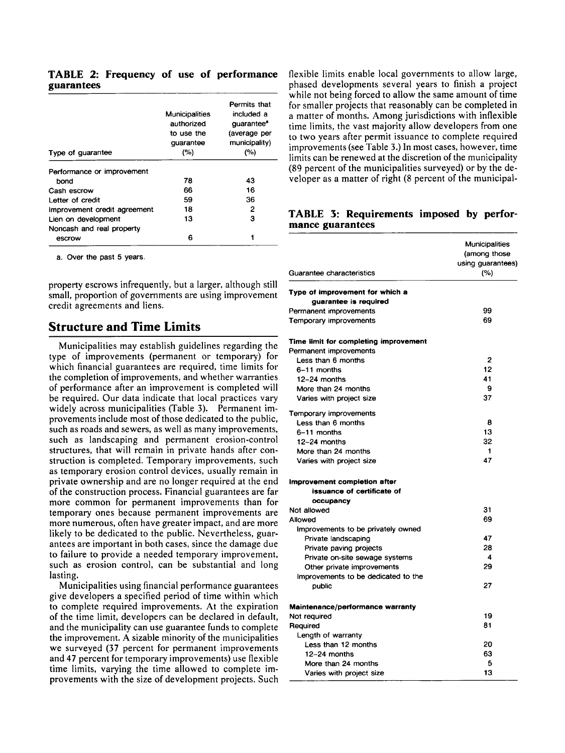**TABLE 2: Frequency of use of performance guarantees** 

| Type of guarantee            | Municipalities<br>authorized<br>to use the<br>guarantee<br>(%) | Permits that<br>included a<br>quarantee <sup>®</sup><br>(average per<br>municipality)<br>(%) |
|------------------------------|----------------------------------------------------------------|----------------------------------------------------------------------------------------------|
| Performance or improvement   |                                                                |                                                                                              |
| hond                         | 78                                                             | 43                                                                                           |
| Cash escrow                  | 66                                                             | 16                                                                                           |
| Letter of credit             | 59                                                             | 36                                                                                           |
| Improvement credit agreement | 18                                                             | 2                                                                                            |
| Lien on development          | 13                                                             | 3                                                                                            |
| Noncash and real property    |                                                                |                                                                                              |
| escrow                       | 6                                                              |                                                                                              |

a. Over the past 5 years.

property escrows infrequently, but a larger, although still small, proportion of governments are using improvement credit agreements and liens.

# **Structure and Time Limits**

Municipalities may establish guidelines regarding the type of improvements (permanent or temporary) for which financial guarantees are required, time limits for the completion of improvements, and whether warranties of performance after an improvement is completed will be required. Our data indicate that local practices vary widely across municipalities (Table **3).** Permanent improvements include most of those dedicated to the public, such as roads and sewers, as well as many improvements, such as landscaping and permanent erosion-control structures, that will remain in private hands after construction is completed. Temporary improvements, such as temporary erosion control devices, usually remain in private ownership and are no longer required at the end of the construction process. Financial guarantees are far more common for permanent improvements than for temporary ones because permanent improvements are more numerous, often have greater impact, and are more likely to be dedicated to the public. Nevertheless, guarantees are important in both cases, since the damage due to failure to provide a needed temporary improvement, such as erosion control, can be substantial and long lasting.

Municipalities using financial performance guarantees give developers a specified period of time within which to complete required improvements. At the expiration of the time limit, developers can be declared in default, and the municipality can use guarantee funds to complete the improvement. A sizable minority of the municipalities we surveyed **(37** percent for permanent improvements and **47** percent for temporary improvements) use flexible time limits, varying the time allowed to complete improvements with the size of development projects. Such

flexible limits enable local governments to allow large, phased developments several years to finish a project while not being forced to allow the same amount of time for smaller projects that reasonably can be completed in a matter of months. Among jurisdictions with inflexible time limits, the vast majority allow developers from one to two years after permit issuance to complete required improvements (see Table **3.)** In most cases, however, time limits can be renewed at the discretion of the municipality (89 percent of the municipalities surveyed) or by the developer as a matter of right (8 percent of the municipal-

#### **TABLE 3: Requirements imposed by performance guarantees**

| Guarantee characteristics                                    | <b>Municipalities</b><br>(among those<br>using guarantees)<br>(%) |
|--------------------------------------------------------------|-------------------------------------------------------------------|
| Type of improvement for which a                              |                                                                   |
| guarantee is required                                        |                                                                   |
| Permanent improvements                                       | 99                                                                |
| Temporary improvements                                       | 69                                                                |
| Time limit for completing improvement                        |                                                                   |
| Permanent improvements                                       |                                                                   |
| Less than 6 months                                           | $\overline{2}$                                                    |
| 6-11 months                                                  | 12                                                                |
| 12-24 months                                                 | 41                                                                |
| More than 24 months                                          | 9                                                                 |
| Varies with project size                                     | 37                                                                |
| Temporary improvements                                       |                                                                   |
| Less than 6 months                                           | 8                                                                 |
| 6-11 months                                                  | 13                                                                |
| 12-24 months                                                 | 32                                                                |
| More than 24 months                                          | 1                                                                 |
| Varies with project size                                     | 47                                                                |
| Improvement completion after                                 |                                                                   |
| issuance of certificate of                                   |                                                                   |
| occupancy                                                    |                                                                   |
| Not allowed                                                  | 31                                                                |
| Allowed                                                      | 69                                                                |
| Improvements to be privately owned                           | 47                                                                |
| Private landscaping                                          | 28                                                                |
| Private paving projects                                      | 4                                                                 |
| Private on-site sewage systems<br>Other private improvements | 29                                                                |
| Improvements to be dedicated to the                          |                                                                   |
| public                                                       | 27                                                                |
|                                                              |                                                                   |
| Maintenance/performance warranty                             |                                                                   |
| Not required                                                 | 19                                                                |
| Required                                                     | 81                                                                |
| Length of warranty                                           |                                                                   |
| Less than 12 months                                          | 20                                                                |
| $12-24$ months                                               | 63                                                                |
| More than 24 months                                          | 5                                                                 |
| Varies with project size                                     | 13                                                                |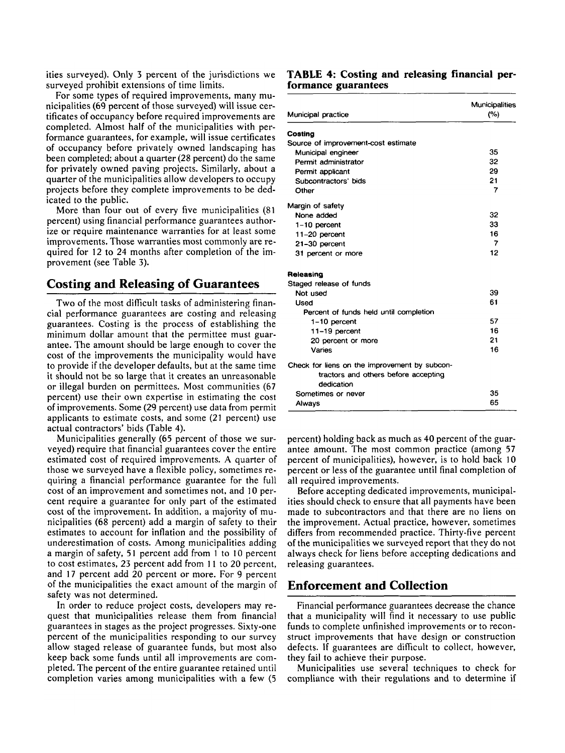ities surveyed). Only **3** percent of the jurisdictions we surveyed prohibit extensions of time limits.

For some types of required improvements, many municipalities (69 percent of those surveyed) will issue certificates of occupancy before required improvements are completed. Almost half of the municipalities with performance guarantees, for example, will issue certificates of occupancy before privately owned landscaping has been completed: about a quarter (28 percent) do the same for privately owned paving projects. Similarly, about a quarter of the municipalities allow developers to occupy projects before they complete improvements to be dedicated to the public.

More than four out of every five municipalities (81 percent) using financial performance guarantees authorize or require maintenance warranties for at least some improvements. Those warranties most commonly are required for 12 to **24** months after completion of the improvement (see Table **3).** 

# **Costing and Releasing of Guarantees**

————————————————

Two of the most difficult tasks of administering financial performance guarantees are costing and releasing guarantees. Costing is the process of establishing the minimum dollar amount that the permittee must guarantee. The amount should be large enough to cover the cost of the improvements the municipality would have to provide if the developer defaults, but at the same time it should not be so large that it creates an unreasonable or illegal burden on permittees. Most communities (67 percent) use their own expertise in estimating the cost of improvements. Some (29 percent) use data from permit applicants to estimate costs, and some **(21** percent) use actual contractors' bids (Table **4).** 

Municipalities generally (65 percent of those we surveyed) require that financial guarantees cover the entire estimated cost of required improvements. A quarter of those we surveyed have a flexible policy, sometimes requiring a financial performance guarantee for the full cost of an improvement and sometimes not, and 10 percent require a guarantee for only part of the estimated cost of the improvement. In addition, a majority of municipalities (68 percent) add a margin of safety to their estimates to account for inflation and the possibility of underestimation of costs. Among municipalities adding a margin of safety, **5 1** percent add from 1 to 10 percent to cost estimates, 23 percent add from 11 to 20 percent, and 17 percent add **20** percent or more. For 9 percent of the municipalities the exact amount of the margin of safety was not determined.

In order to reduce project costs, developers may request that municipalities release them from financial guarantees in stages as the project progresses. Sixty-one percent of the municipalities responding to our survey allow staged release of guarantee funds, but most also keep back some funds until all improvements are completed. The percent of the entire guarantee retained until completion varies among municipalities with a few **(5** 

#### **TABLE 4: Costing and releasing financial performance guarantees**

| Municipal practice                                                                                  | <b>Municipalities</b><br>(%) |
|-----------------------------------------------------------------------------------------------------|------------------------------|
| Costing                                                                                             |                              |
| Source of improvement-cost estimate                                                                 |                              |
| Municipal engineer                                                                                  | 35                           |
| Permit administrator                                                                                | 32                           |
| Permit applicant                                                                                    | 29                           |
| Subcontractors' bids                                                                                | 21                           |
| Other                                                                                               | 7                            |
| Margin of safety                                                                                    |                              |
| None added                                                                                          | 32                           |
| 1-10 percent                                                                                        | 33                           |
| 11-20 percent                                                                                       | 16                           |
| 21-30 percent                                                                                       | 7                            |
| 31 percent or more                                                                                  | 12                           |
| Releasing                                                                                           |                              |
| Staged release of funds                                                                             |                              |
| Not used                                                                                            | 39                           |
| Used                                                                                                | 61                           |
| Percent of funds held until completion                                                              |                              |
| 1-10 percent                                                                                        | 57                           |
| 11-19 percent                                                                                       | 16                           |
| 20 percent or more                                                                                  | 21                           |
| Varies                                                                                              | 16                           |
| Check for liens on the improvement by subcon-<br>tractors and others before accepting<br>dedication |                              |
| Sometimes or never                                                                                  | 35                           |
| Always                                                                                              | 65                           |

percent) holding back as much as 40 percent of the guarantee amount. The most common practice (among 57 percent of municipalities), however, is to hold back 10 percent or less of the guarantee until final completion of all required improvements.

Before accepting dedicated improvements, municipalities should check to ensure that all payments have been made to subcontractors and that there are no liens on the improvement. Actual practice, however, sometimes differs from recommended practice. Thirty-five percent of the municipalities we surveyed report that they do not always check for liens before accepting dedications and releasing guarantees.

# **Enforcement and Collection**

Financial performance guarantees decrease the chance that a municipality will find it necessary to use public funds to complete unfinished improvements or to reconstruct improvements that have design or construction defects. If guarantees are difficult to collect, however, they fail to achieve their purpose.

Municipalities use several techniques to check for compliance with their regulations and to determine if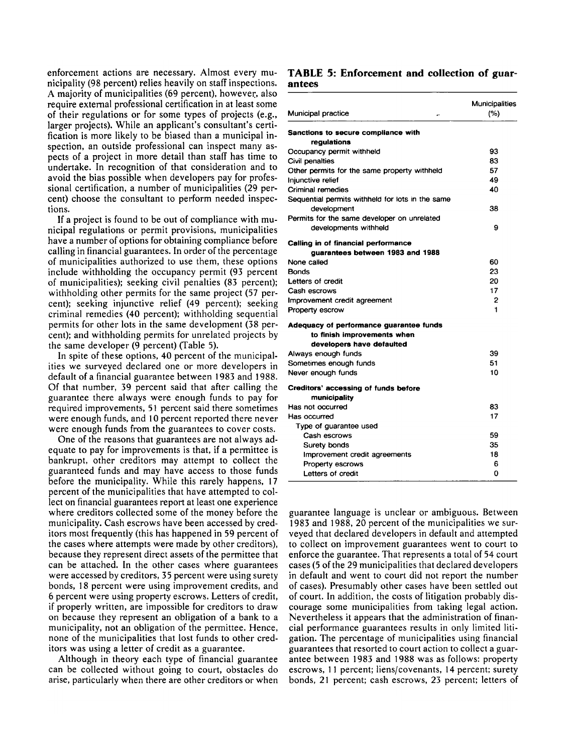enforcement actions are necessary. Almost every municipality (98 percent) relies heavily on staff inspections. A majority of municipalities (69 percent), however, also require external professional certification in at least some of their regulations or for some types of projects (e.g., larger projects). While an applicant's consultant's certification is more likely to be biased than a municipal inspection, an outside professional can inspect many aspects of a project in more detail than staff has time to undertake. In recognition of that consideration and to avoid the bias possible when developers pay for professional certification, a number of municipalities (29 percent) choose the consultant to perform needed inspections.

If a project is found to be out of compliance with municipal regulations or permit provisions, municipalities have a number of options for obtaining compliance before calling in financial guarantees. In order of the percentage of municipalities authorized to use them, these options include withholding the occupancy permit (93 percent of municipalities): seeking civil penalties (83 percent): withholding other permits for the same project (57 percent); seeking injunctive relief (49 percent): seeking criminal remedies **(40** percent): withholding sequential permits for other lots in the same development (38 percent): and withholding permits for unrelated projects by the same developer (9 percent) (Table 5).

In spite of these options, **40** percent of the municipalities we surveyed declared one or more developers in default of a financial guarantee between 1983 and 1988. Of that number, 39 percent said that after calling the guarantee there always were enough funds to pay for required improvements, 5 **1** percent said there sometimes were enough funds, and **10** percent reported there never were enough funds from the guarantees to cover costs.

One of the reasons that guarantees are not always adequate to pay for improvements is that, if a permittee is bankrupt, other creditors may attempt to collect the guaranteed funds and may have access to those funds before the municipality. While this rarely happens, 17 percent of the municipalities that have attempted to collect on financial guarantees report at least one experience where creditors collected some of the money before the municipality. Cash escrows have been accessed by creditors most frequently (this has happened in 59 percent of the cases where attempts were made by other creditors), because they represent direct assets of the permittee that can be attached. In the other cases where guarantees were accessed by creditors, 35 percent were using surety bonds, 18 percent were using improvement credits, and 6 percent were using property escrows. Letters of credit, if properly written, are impossible for creditors to draw on because they represent an obligation of a bank to a municipality, not an obligation of the permittee. Hence, none of the municipalities that lost funds to other creditors was using a letter of credit as a guarantee.

Although in theory each type of financial guarantee can be collected without going to court, obstacles do arise, particularly when there are other creditors or when

## **TABLE 5: Enforcement and collection of guarantees**

|                                                                         | <b>Municipalities</b> |
|-------------------------------------------------------------------------|-----------------------|
| Municipal practice<br>                                                  | (%)                   |
| Sanctions to secure compliance with<br>regulations                      |                       |
| Occupancy permit withheld                                               | 93                    |
| Civil penalties                                                         | 83                    |
| Other permits for the same property withheld                            | 57                    |
| Injunctive relief                                                       | 49                    |
| Criminal remedies                                                       | 40                    |
| Sequential permits withheld for lots in the same<br>development         | 38                    |
| Permits for the same developer on unrelated                             |                       |
| developments withheld                                                   | 9                     |
| Calling in of financial performance<br>quarantees between 1983 and 1988 |                       |
| None called                                                             | 60                    |
| Bonds                                                                   | 23                    |
| Letters of credit                                                       | 20                    |
| Cash escrows                                                            | 17                    |
| Improvement credit agreement                                            | 2                     |
| Property escrow                                                         | 1                     |
| Adequacy of performance guarantee funds                                 |                       |
| to finish improvements when                                             |                       |
| developers have defaulted                                               |                       |
| Always enough funds                                                     | 39                    |
| Sometimes enough funds                                                  | 51                    |
| Never enough funds                                                      | 10                    |
| Creditors' accessing of funds before                                    |                       |
| municipality                                                            |                       |
| Has not occurred                                                        | 83                    |
| Has occurred                                                            | 17                    |
| Type of quarantee used                                                  |                       |
| Cash escrows                                                            | 59                    |
| Surety bonds                                                            | 35                    |
| Improvement credit agreements                                           | 18                    |
| Property escrows                                                        | 6                     |
| Letters of credit                                                       | 0                     |

guarantee language is unclear or ambiguous. Between 1983 and 1988, 20 percent of the municipalities we surveyed that declared developers in default and attempted to collect on improvement guarantees went to court to enforce the guarantee. That represents a total of **54** court cases (5 of the 29 municipalities that declared developers in default and went to court did not report the number of cases). Presumably other cases have been settled out of court. In addition, the costs of litigation probably discourage some municipalities from taking legal action. Nevertheless it appears that the administration of financial performance guarantees results in only limited litigation. The percentage of municipalities using financial guarantees that resorted to court action to collect a guarantee between 1983 and 1988 was as follows: property escrows, 11 percent; liens/covenants, 14 percent; surety bonds, 21 percent; cash escrows, 23 percent: letters of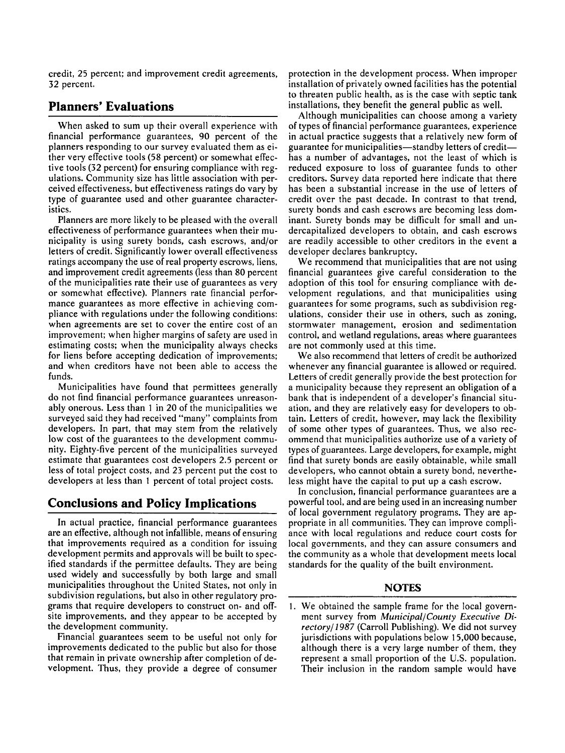credit, **25** percent; and improvement credit agreements, **32** percent.

# **Planners' Evaluations**

When asked to sum up their overall experience with financial performance guarantees, 90 percent of the planners responding to our survey evaluated them as either very effective tools (58 percent) or somewhat effective tools **(32** percent) for ensuring compliance with regulations. Community size has little association with perceived effectiveness, but effectiveness ratings do vary by type of guarantee used and other guarantee characteristics.

Planners are more likely to be pleased with the overall effectiveness of performance guarantees when their municipality is using surety bonds, cash escrows, and/or letters of credit. Significantly lower overall effectiveness ratings accompany the use of real property escrows, liens, and improvement credit agreements (less than 80 percent of the municipalities rate their use of guarantees as very or somewhat effective). Planners rate financial performance guarantees as more effective in achieving compliance with regulations under the following conditions: when agreements are set to cover the entire cost of an improvement; when higher margins of safety are used in estimating costs; when the municipality always checks for liens before accepting dedication of improvements; and when creditors have not been able to access the funds.

Municipalities have found that permittees generally do not find financial performance guarantees unreasonably onerous. Less than 1 in 20 of the municipalities we surveyed said they had received "many" complaints from developers. In part, that may stem from the relatively low cost of the guarantees to the development community. Eighty-five percent of the municipalities surveyed estimate that guarantees cost developers **2.5** percent or less of total project costs, and **23** percent put the cost to developers at less than **1** percent of total project costs.

# **Conclusions and Policy Implications**

In actual practice, financial performance guarantees are an effective, although not infallible, means of ensuring that improvements required as a condition for issuing development permits and approvals will be built to specified standards if the permittee defaults. They are being used widely and successfully by both large and small municipalities throughout the United States, not only in subdivision regulations, but also in other regulatory programs that require developers to construct on- and offsite improvements, and they appear to be accepted by the development community.

Financial guarantees seem to be useful not only for improvements dedicated to the public but also for those that remain in private ownership after completion of development. Thus, they provide a degree of consumer

protection in the development process. When improper installation of privately owned facilities has the potential to threaten public health, as is the case with septic tank installations, they benefit the general public as well.

Although municipalities can choose among a variety of types of financial performance guarantees, experience in actual practice suggests that a relatively new form **of**  guarantee for municipalities-standby letters of credithas a number of advantages, not the least of which is reduced exposure to loss of guarantee funds to other creditors. Survey data reported here indicate that there has been a substantial increase in the use of letters of credit over the past decade. In contrast to that trend, surety bonds and cash escrows are becoming less dominant. Surety bonds may be difficult for small and undercapitalized developers to obtain, and cash escrows are readily accessible to other creditors in the event a developer declares bankruptcy.

We recommend that municipalities that are not using financial guarantees give careful consideration to the adoption of this tool for ensuring compliance with development regulations, and that municipalities using guarantees for some programs, such as subdivision regulations, consider their use in others, such as zoning, stormwater management, erosion and sedimentation control, and wetland regulations, areas where guarantees are not commonly used at this time.

We also recommend that letters of credit be authorized whenever any financial guarantee is allowed or required. Letters of credit generally provide the best protection for a municipality because they represent an obligation of a bank that is independent of a developer's financial situation, and they are relatively easy for developers to obtain. Letters of credit, however, may lack the flexibility of some other types of guarantees. Thus, we also recommend that municipalities authorize use of a variety of types of guarantees. Large developers, for example, might find that surety bonds are easily obtainable, while small developers, who cannot obtain a surety bond, nevertheless might have the capital to put up a cash escrow.

In conclusion, financial performance guarantees are a powerful tool, and are being used in an increasing number of local government regulatory programs. They are appropriate in all communities. They can improve compliance with local regulations and reduce court costs for local governments, and they can assure consumers and the community as a whole that development meets local standards for the quality of the built environment.

## **NOTES**

1. We obtained the sample frame for the local government survey from *Municipal/County Executive Directory/ 1987* (Carroll Publishing). We did not survey jurisdictions with populations below 15,000 because, although there is a very large number of them, they represent a small proportion of the **US.** population. Their inclusion in the random sample would have